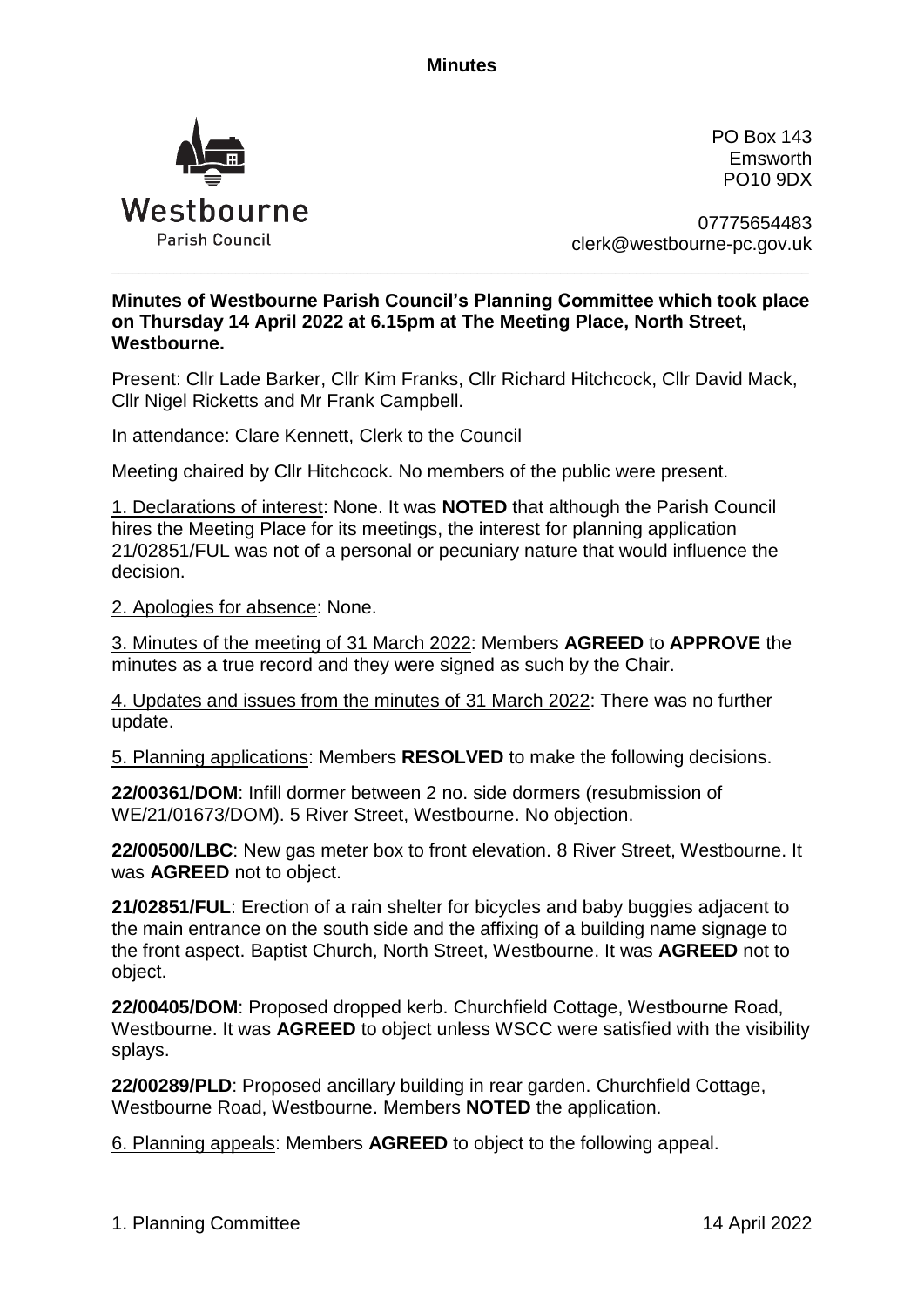

PO Box 143 Emsworth PO10 9DX

07775654483 clerk@westbourne-pc.gov.uk

## **Minutes of Westbourne Parish Council's Planning Committee which took place on Thursday 14 April 2022 at 6.15pm at The Meeting Place, North Street, Westbourne.**

\_\_\_\_\_\_\_\_\_\_\_\_\_\_\_\_\_\_\_\_\_\_\_\_\_\_\_\_\_\_\_\_\_\_\_\_\_\_\_\_\_\_\_\_\_\_\_\_\_\_\_\_\_\_\_\_\_\_\_\_\_\_\_\_\_\_\_\_\_\_\_\_\_\_\_\_\_\_\_\_\_\_\_\_\_\_\_\_\_\_\_\_\_\_\_\_\_\_\_\_\_

Present: Cllr Lade Barker, Cllr Kim Franks, Cllr Richard Hitchcock, Cllr David Mack, Cllr Nigel Ricketts and Mr Frank Campbell.

In attendance: Clare Kennett, Clerk to the Council

Meeting chaired by Cllr Hitchcock. No members of the public were present.

1. Declarations of interest: None. It was **NOTED** that although the Parish Council hires the Meeting Place for its meetings, the interest for planning application 21/02851/FUL was not of a personal or pecuniary nature that would influence the decision.

2. Apologies for absence: None.

3. Minutes of the meeting of 31 March 2022: Members **AGREED** to **APPROVE** the minutes as a true record and they were signed as such by the Chair.

4. Updates and issues from the minutes of 31 March 2022: There was no further update.

5. Planning applications: Members **RESOLVED** to make the following decisions.

**22/00361/DOM**: Infill dormer between 2 no. side dormers (resubmission of WE/21/01673/DOM). 5 River Street, Westbourne. No objection.

**22/00500/LBC**: New gas meter box to front elevation. 8 River Street, Westbourne. It was **AGREED** not to object.

**21/02851/FUL**: Erection of a rain shelter for bicycles and baby buggies adjacent to the main entrance on the south side and the affixing of a building name signage to the front aspect. Baptist Church, North Street, Westbourne. It was **AGREED** not to object.

**22/00405/DOM**: Proposed dropped kerb. Churchfield Cottage, Westbourne Road, Westbourne. It was **AGREED** to object unless WSCC were satisfied with the visibility splays.

**22/00289/PLD**: Proposed ancillary building in rear garden. Churchfield Cottage, Westbourne Road, Westbourne. Members **NOTED** the application.

6. Planning appeals: Members **AGREED** to object to the following appeal.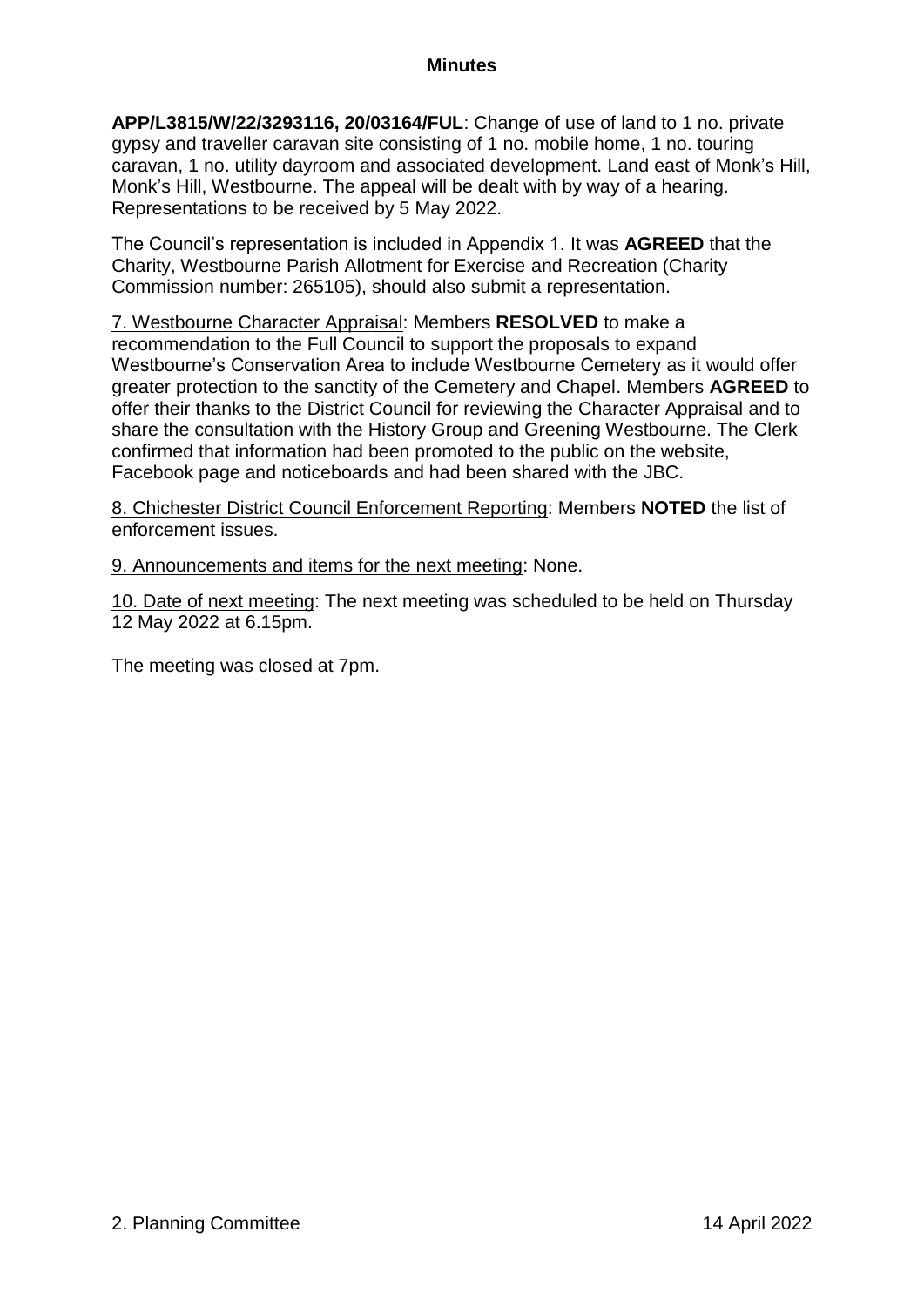**APP/L3815/W/22/3293116, 20/03164/FUL**: Change of use of land to 1 no. private gypsy and traveller caravan site consisting of 1 no. mobile home, 1 no. touring caravan, 1 no. utility dayroom and associated development. Land east of Monk's Hill, Monk's Hill, Westbourne. The appeal will be dealt with by way of a hearing. Representations to be received by 5 May 2022.

The Council's representation is included in Appendix 1. It was **AGREED** that the Charity, Westbourne Parish Allotment for Exercise and Recreation (Charity Commission number: 265105), should also submit a representation.

7. Westbourne Character Appraisal: Members **RESOLVED** to make a recommendation to the Full Council to support the proposals to expand Westbourne's Conservation Area to include Westbourne Cemetery as it would offer greater protection to the sanctity of the Cemetery and Chapel. Members **AGREED** to offer their thanks to the District Council for reviewing the Character Appraisal and to share the consultation with the History Group and Greening Westbourne. The Clerk confirmed that information had been promoted to the public on the website, Facebook page and noticeboards and had been shared with the JBC.

8. Chichester District Council Enforcement Reporting: Members **NOTED** the list of enforcement issues.

9. Announcements and items for the next meeting: None.

10. Date of next meeting: The next meeting was scheduled to be held on Thursday 12 May 2022 at 6.15pm.

The meeting was closed at 7pm.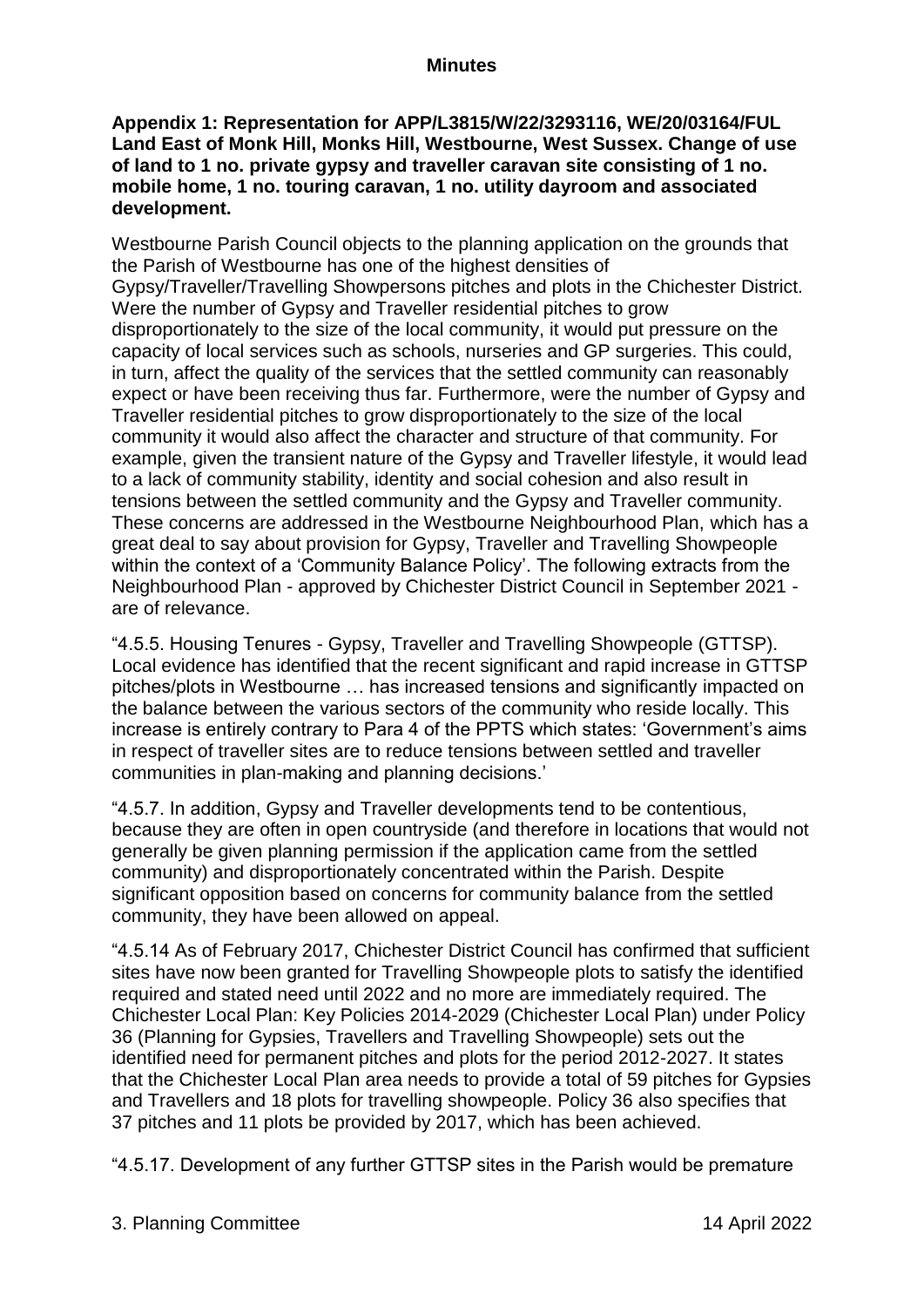# **Appendix 1: Representation for APP/L3815/W/22/3293116, WE/20/03164/FUL Land East of Monk Hill, Monks Hill, Westbourne, West Sussex. Change of use of land to 1 no. private gypsy and traveller caravan site consisting of 1 no. mobile home, 1 no. touring caravan, 1 no. utility dayroom and associated development.**

Westbourne Parish Council objects to the planning application on the grounds that the Parish of Westbourne has one of the highest densities of Gypsy/Traveller/Travelling Showpersons pitches and plots in the Chichester District. Were the number of Gypsy and Traveller residential pitches to grow disproportionately to the size of the local community, it would put pressure on the capacity of local services such as schools, nurseries and GP surgeries. This could, in turn, affect the quality of the services that the settled community can reasonably expect or have been receiving thus far. Furthermore, were the number of Gypsy and Traveller residential pitches to grow disproportionately to the size of the local community it would also affect the character and structure of that community. For example, given the transient nature of the Gypsy and Traveller lifestyle, it would lead to a lack of community stability, identity and social cohesion and also result in tensions between the settled community and the Gypsy and Traveller community. These concerns are addressed in the Westbourne Neighbourhood Plan, which has a great deal to say about provision for Gypsy, Traveller and Travelling Showpeople within the context of a 'Community Balance Policy'. The following extracts from the Neighbourhood Plan - approved by Chichester District Council in September 2021 are of relevance.

"4.5.5. Housing Tenures - Gypsy, Traveller and Travelling Showpeople (GTTSP). Local evidence has identified that the recent significant and rapid increase in GTTSP pitches/plots in Westbourne … has increased tensions and significantly impacted on the balance between the various sectors of the community who reside locally. This increase is entirely contrary to Para 4 of the PPTS which states: 'Government's aims in respect of traveller sites are to reduce tensions between settled and traveller communities in plan-making and planning decisions.'

"4.5.7. In addition, Gypsy and Traveller developments tend to be contentious, because they are often in open countryside (and therefore in locations that would not generally be given planning permission if the application came from the settled community) and disproportionately concentrated within the Parish. Despite significant opposition based on concerns for community balance from the settled community, they have been allowed on appeal.

"4.5.14 As of February 2017, Chichester District Council has confirmed that sufficient sites have now been granted for Travelling Showpeople plots to satisfy the identified required and stated need until 2022 and no more are immediately required. The Chichester Local Plan: Key Policies 2014-2029 (Chichester Local Plan) under Policy 36 (Planning for Gypsies, Travellers and Travelling Showpeople) sets out the identified need for permanent pitches and plots for the period 2012-2027. It states that the Chichester Local Plan area needs to provide a total of 59 pitches for Gypsies and Travellers and 18 plots for travelling showpeople. Policy 36 also specifies that 37 pitches and 11 plots be provided by 2017, which has been achieved.

"4.5.17. Development of any further GTTSP sites in the Parish would be premature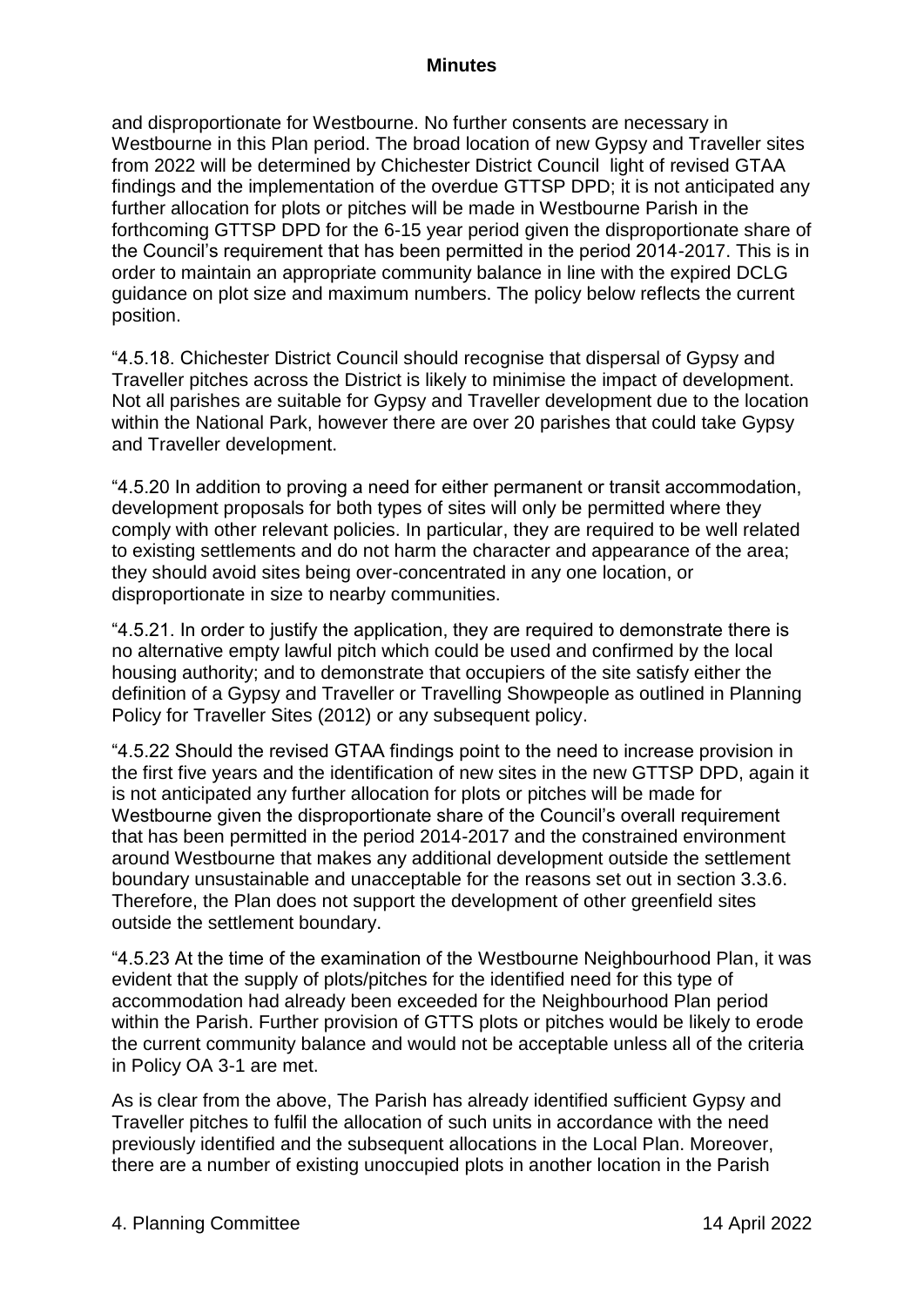and disproportionate for Westbourne. No further consents are necessary in Westbourne in this Plan period. The broad location of new Gypsy and Traveller sites from 2022 will be determined by Chichester District Council light of revised GTAA findings and the implementation of the overdue GTTSP DPD; it is not anticipated any further allocation for plots or pitches will be made in Westbourne Parish in the forthcoming GTTSP DPD for the 6-15 year period given the disproportionate share of the Council's requirement that has been permitted in the period 2014-2017. This is in order to maintain an appropriate community balance in line with the expired DCLG guidance on plot size and maximum numbers. The policy below reflects the current position.

"4.5.18. Chichester District Council should recognise that dispersal of Gypsy and Traveller pitches across the District is likely to minimise the impact of development. Not all parishes are suitable for Gypsy and Traveller development due to the location within the National Park, however there are over 20 parishes that could take Gypsy and Traveller development.

"4.5.20 In addition to proving a need for either permanent or transit accommodation, development proposals for both types of sites will only be permitted where they comply with other relevant policies. In particular, they are required to be well related to existing settlements and do not harm the character and appearance of the area; they should avoid sites being over-concentrated in any one location, or disproportionate in size to nearby communities.

"4.5.21. In order to justify the application, they are required to demonstrate there is no alternative empty lawful pitch which could be used and confirmed by the local housing authority; and to demonstrate that occupiers of the site satisfy either the definition of a Gypsy and Traveller or Travelling Showpeople as outlined in Planning Policy for Traveller Sites (2012) or any subsequent policy.

"4.5.22 Should the revised GTAA findings point to the need to increase provision in the first five years and the identification of new sites in the new GTTSP DPD, again it is not anticipated any further allocation for plots or pitches will be made for Westbourne given the disproportionate share of the Council's overall requirement that has been permitted in the period 2014-2017 and the constrained environment around Westbourne that makes any additional development outside the settlement boundary unsustainable and unacceptable for the reasons set out in section 3.3.6. Therefore, the Plan does not support the development of other greenfield sites outside the settlement boundary.

"4.5.23 At the time of the examination of the Westbourne Neighbourhood Plan, it was evident that the supply of plots/pitches for the identified need for this type of accommodation had already been exceeded for the Neighbourhood Plan period within the Parish. Further provision of GTTS plots or pitches would be likely to erode the current community balance and would not be acceptable unless all of the criteria in Policy OA 3-1 are met.

As is clear from the above, The Parish has already identified sufficient Gypsy and Traveller pitches to fulfil the allocation of such units in accordance with the need previously identified and the subsequent allocations in the Local Plan. Moreover, there are a number of existing unoccupied plots in another location in the Parish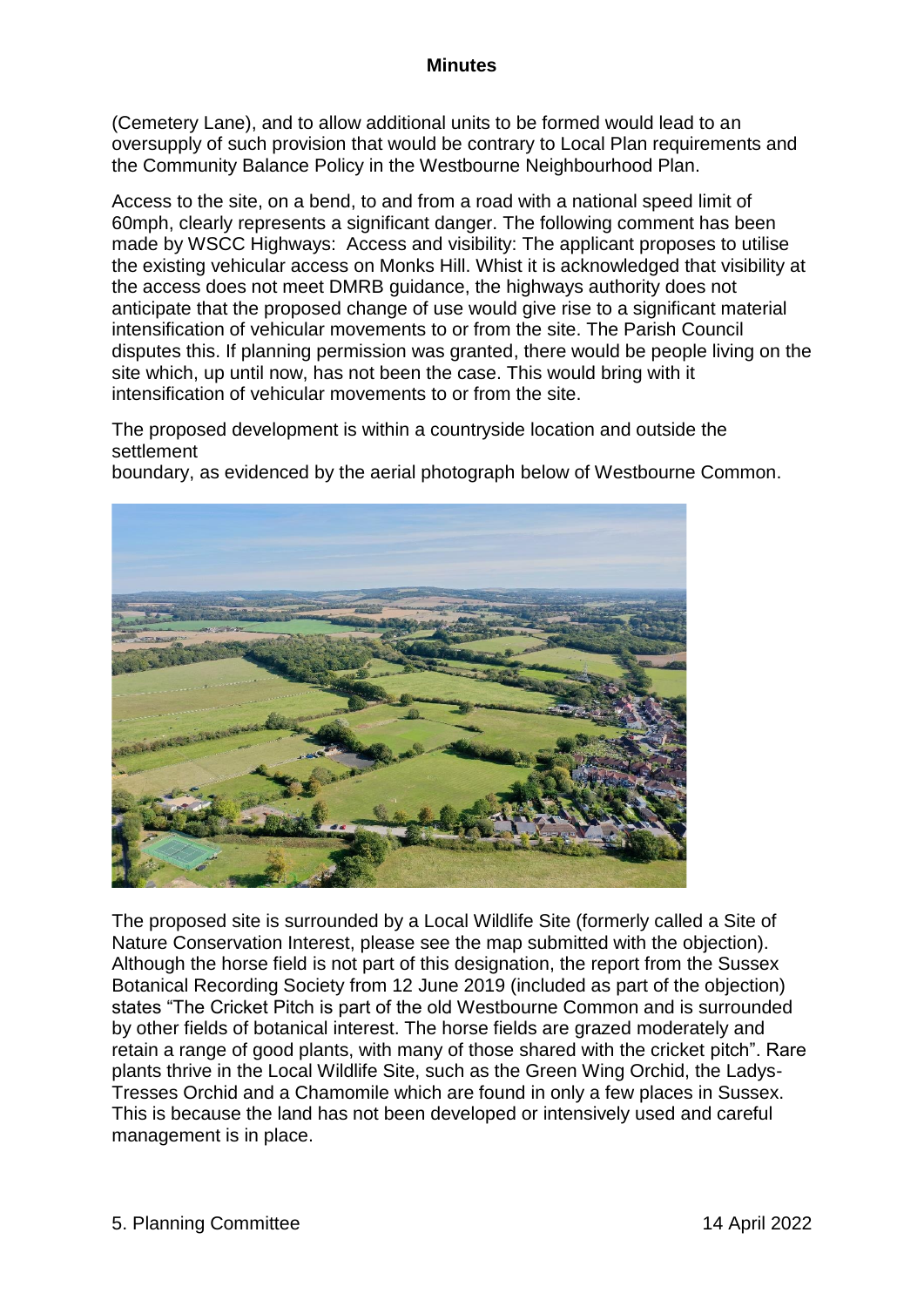(Cemetery Lane), and to allow additional units to be formed would lead to an oversupply of such provision that would be contrary to Local Plan requirements and the Community Balance Policy in the Westbourne Neighbourhood Plan.

Access to the site, on a bend, to and from a road with a national speed limit of 60mph, clearly represents a significant danger. The following comment has been made by WSCC Highways: Access and visibility: The applicant proposes to utilise the existing vehicular access on Monks Hill. Whist it is acknowledged that visibility at the access does not meet DMRB guidance, the highways authority does not anticipate that the proposed change of use would give rise to a significant material intensification of vehicular movements to or from the site. The Parish Council disputes this. If planning permission was granted, there would be people living on the site which, up until now, has not been the case. This would bring with it intensification of vehicular movements to or from the site.

The proposed development is within a countryside location and outside the settlement

boundary, as evidenced by the aerial photograph below of Westbourne Common.



The proposed site is surrounded by a Local Wildlife Site (formerly called a Site of Nature Conservation Interest, please see the map submitted with the objection). Although the horse field is not part of this designation, the report from the Sussex Botanical Recording Society from 12 June 2019 (included as part of the objection) states "The Cricket Pitch is part of the old Westbourne Common and is surrounded by other fields of botanical interest. The horse fields are grazed moderately and retain a range of good plants, with many of those shared with the cricket pitch". Rare plants thrive in the Local Wildlife Site, such as the Green Wing Orchid, the Ladys-Tresses Orchid and a Chamomile which are found in only a few places in Sussex. This is because the land has not been developed or intensively used and careful management is in place.